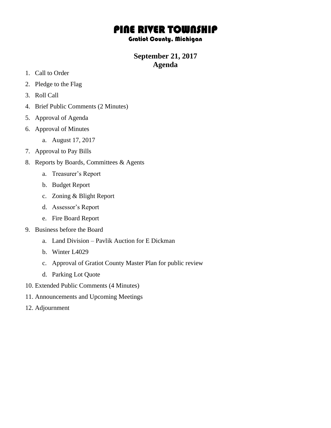# PINE RIVER TOWNSHIP

#### Gratiot County, Michigan

## **September 21, 2017 Agenda**

- 1. Call to Order
- 2. Pledge to the Flag
- 3. Roll Call
- 4. Brief Public Comments (2 Minutes)
- 5. Approval of Agenda
- 6. Approval of Minutes
	- a. August 17, 2017
- 7. Approval to Pay Bills
- 8. Reports by Boards, Committees & Agents
	- a. Treasurer's Report
	- b. Budget Report
	- c. Zoning & Blight Report
	- d. Assessor's Report
	- e. Fire Board Report
- 9. Business before the Board
	- a. Land Division Pavlik Auction for E Dickman
	- b. Winter L4029
	- c. Approval of Gratiot County Master Plan for public review
	- d. Parking Lot Quote
- 10. Extended Public Comments (4 Minutes)
- 11. Announcements and Upcoming Meetings
- 12. Adjournment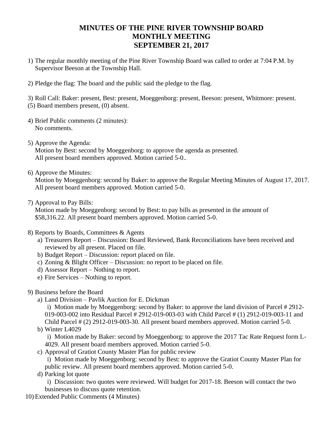## **MINUTES OF THE PINE RIVER TOWNSHIP BOARD MONTHLY MEETING SEPTEMBER 21, 2017**

- 1) The regular monthly meeting of the Pine River Township Board was called to order at 7:04 P.M. by Supervisor Beeson at the Township Hall.
- 2) Pledge the flag: The board and the public said the pledge to the flag.

3) Roll Call: Baker: present, Best: present, Moeggenborg: present, Beeson: present, Whitmore: present. (5) Board members present, (0) absent.

- 4) Brief Public comments (2 minutes): No comments.
- 5) Approve the Agenda: Motion by Best: second by Moeggenborg: to approve the agenda as presented. All present board members approved. Motion carried 5-0..
- 6) Approve the Minutes:

Motion by Moeggenborg: second by Baker: to approve the Regular Meeting Minutes of August 17, 2017. All present board members approved. Motion carried 5-0.

7) Approval to Pay Bills:

Motion made by Moeggenborg: second by Best: to pay bills as presented in the amount of \$58,316.22. All present board members approved. Motion carried 5-0.

- 8) Reports by Boards, Committees & Agents
	- a) Treasurers Report Discussion: Board Reviewed, Bank Reconciliations have been received and reviewed by all present. Placed on file.
	- b) Budget Report Discussion: report placed on file.
	- c) Zoning & Blight Officer Discussion: no report to be placed on file.
	- d) Assessor Report Nothing to report.
	- e) Fire Services Nothing to report.
- 9) Business before the Board
	- a) Land Division Pavlik Auction for E. Dickman

i) Motion made by Moeggenborg: second by Baker: to approve the land division of Parcel # 2912- 019-003-002 into Residual Parcel # 2912-019-003-03 with Child Parcel # (1) 2912-019-003-11 and Child Parcel # (2) 2912-019-003-30. All present board members approved. Motion carried 5-0.

b) Winter L4029

i) Motion made by Baker: second by Moeggenborg: to approve the 2017 Tac Rate Request form L-4029. All present board members approved. Motion carried 5-0.

c) Approval of Gratiot County Master Plan for public review

i) Motion made by Moeggenborg: second by Best: to approve the Gratiot County Master Plan for public review. All present board members approved. Motion carried 5-0.

d) Parking lot quote

i) Discussion: two quotes were reviewed. Will budget for 2017-18. Beeson will contact the two businesses to discuss quote retention.

10) Extended Public Comments (4 Minutes)